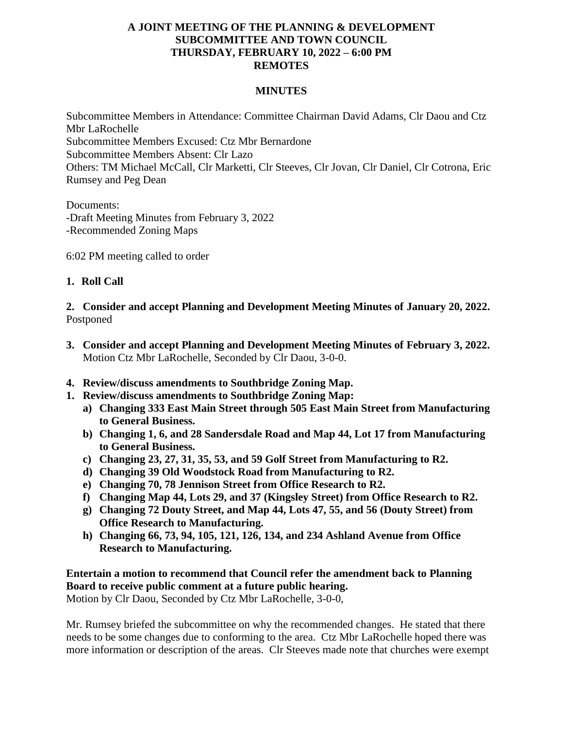## **A JOINT MEETING OF THE PLANNING & DEVELOPMENT SUBCOMMITTEE AND TOWN COUNCIL THURSDAY, FEBRUARY 10, 2022 – 6:00 PM REMOTES**

## **MINUTES**

Subcommittee Members in Attendance: Committee Chairman David Adams, Clr Daou and Ctz Mbr LaRochelle Subcommittee Members Excused: Ctz Mbr Bernardone Subcommittee Members Absent: Clr Lazo Others: TM Michael McCall, Clr Marketti, Clr Steeves, Clr Jovan, Clr Daniel, Clr Cotrona, Eric Rumsey and Peg Dean

Documents: -Draft Meeting Minutes from February 3, 2022 -Recommended Zoning Maps

6:02 PM meeting called to order

#### **1. Roll Call**

**2. Consider and accept Planning and Development Meeting Minutes of January 20, 2022.** Postponed

- **3. Consider and accept Planning and Development Meeting Minutes of February 3, 2022.** Motion Ctz Mbr LaRochelle, Seconded by Clr Daou, 3-0-0.
- **4. Review/discuss amendments to Southbridge Zoning Map.**
- **1. Review/discuss amendments to Southbridge Zoning Map:** 
	- **a) Changing 333 East Main Street through 505 East Main Street from Manufacturing to General Business.**
	- **b) Changing 1, 6, and 28 Sandersdale Road and Map 44, Lot 17 from Manufacturing to General Business.**
	- **c) Changing 23, 27, 31, 35, 53, and 59 Golf Street from Manufacturing to R2.**
	- **d) Changing 39 Old Woodstock Road from Manufacturing to R2.**
	- **e) Changing 70, 78 Jennison Street from Office Research to R2.**
	- **f) Changing Map 44, Lots 29, and 37 (Kingsley Street) from Office Research to R2.**
	- **g) Changing 72 Douty Street, and Map 44, Lots 47, 55, and 56 (Douty Street) from Office Research to Manufacturing.**
	- **h) Changing 66, 73, 94, 105, 121, 126, 134, and 234 Ashland Avenue from Office Research to Manufacturing.**

# **Entertain a motion to recommend that Council refer the amendment back to Planning Board to receive public comment at a future public hearing.**

Motion by Clr Daou, Seconded by Ctz Mbr LaRochelle, 3-0-0,

Mr. Rumsey briefed the subcommittee on why the recommended changes. He stated that there needs to be some changes due to conforming to the area. Ctz Mbr LaRochelle hoped there was more information or description of the areas. Clr Steeves made note that churches were exempt